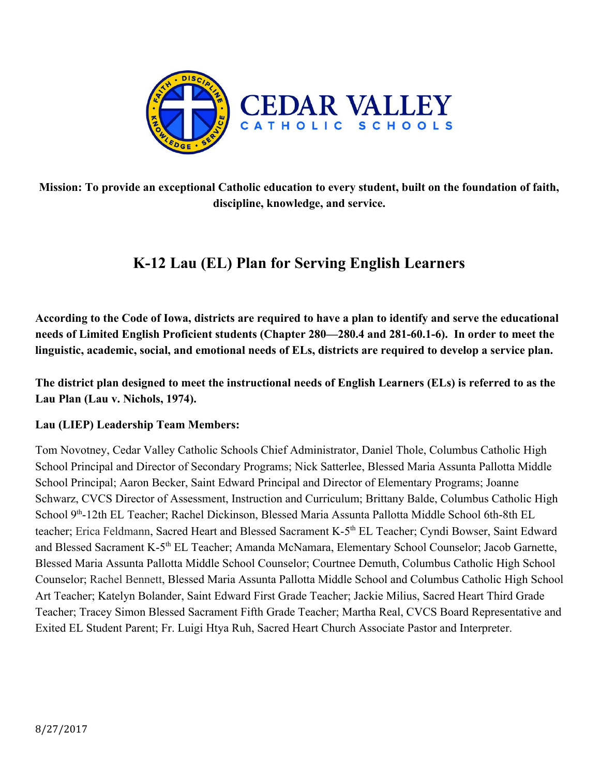

**Mission: To provide an exceptional Catholic education to every student, built on the foundation of faith, discipline, knowledge, and service.**

# **K-12 Lau (EL) Plan for Serving English Learners**

**According to the Code of Iowa, districts are required to have a plan to identify and serve the educational needs of Limited English Proficient students (Chapter 280—280.4 and 281-60.1-6). In order to meet the linguistic, academic, social, and emotional needs of ELs, districts are required to develop a service plan.**

**The district plan designed to meet the instructional needs of English Learners (ELs) is referred to as the Lau Plan (Lau v. Nichols, 1974).**

#### **Lau (LIEP) Leadership Team Members:**

Tom Novotney, Cedar Valley Catholic Schools Chief Administrator, Daniel Thole, Columbus Catholic High School Principal and Director of Secondary Programs; Nick Satterlee, Blessed Maria Assunta Pallotta Middle School Principal; Aaron Becker, Saint Edward Principal and Director of Elementary Programs; Joanne Schwarz, CVCS Director of Assessment, Instruction and Curriculum; Brittany Balde, Columbus Catholic High School 9<sup>th</sup>-12th EL Teacher; Rachel Dickinson, Blessed Maria Assunta Pallotta Middle School 6th-8th EL teacher; Erica Feldmann, Sacred Heart and Blessed Sacrament K-5<sup>th</sup> EL Teacher; Cyndi Bowser, Saint Edward and Blessed Sacrament K-5<sup>th</sup> EL Teacher; Amanda McNamara, Elementary School Counselor; Jacob Garnette, Blessed Maria Assunta Pallotta Middle School Counselor; Courtnee Demuth, Columbus Catholic High School Counselor; Rachel Bennett, Blessed Maria Assunta Pallotta Middle School and Columbus Catholic High School Art Teacher; Katelyn Bolander, Saint Edward First Grade Teacher; Jackie Milius, Sacred Heart Third Grade Teacher; Tracey Simon Blessed Sacrament Fifth Grade Teacher; Martha Real, CVCS Board Representative and Exited EL Student Parent; Fr. Luigi Htya Ruh, Sacred Heart Church Associate Pastor and Interpreter.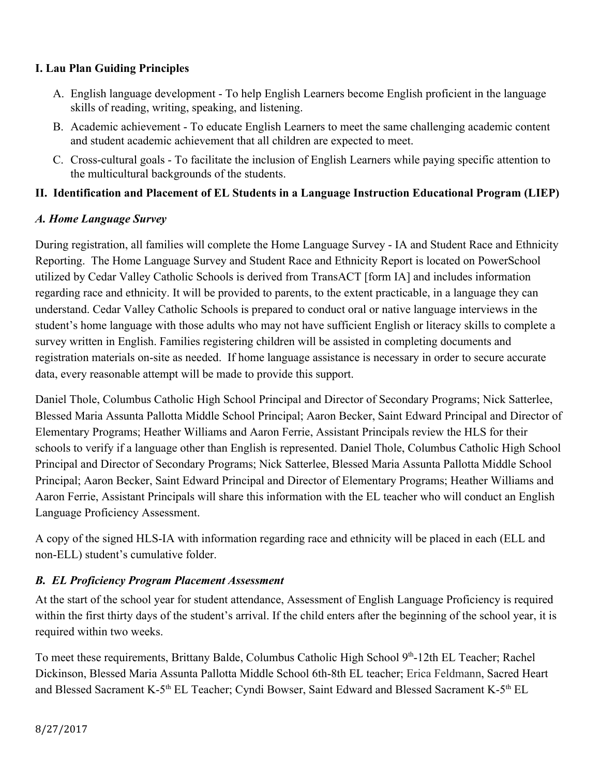#### **I. Lau Plan Guiding Principles**

- A. English language development To help English Learners become English proficient in the language skills of reading, writing, speaking, and listening.
- B. Academic achievement To educate English Learners to meet the same challenging academic content and student academic achievement that all children are expected to meet.
- C. Cross-cultural goals To facilitate the inclusion of English Learners while paying specific attention to the multicultural backgrounds of the students.

#### **II. Identification and Placement of EL Students in a Language Instruction Educational Program (LIEP)**

#### *A. Home Language Survey*

During registration, all families will complete the Home Language Survey - IA and Student Race and Ethnicity Reporting. The Home Language Survey and Student Race and Ethnicity Report is located on PowerSchool utilized by Cedar Valley Catholic Schools is derived from TransACT [form IA] and includes information regarding race and ethnicity. It will be provided to parents, to the extent practicable, in a language they can understand. Cedar Valley Catholic Schools is prepared to conduct oral or native language interviews in the student's home language with those adults who may not have sufficient English or literacy skills to complete a survey written in English. Families registering children will be assisted in completing documents and registration materials on-site as needed. If home language assistance is necessary in order to secure accurate data, every reasonable attempt will be made to provide this support.

Daniel Thole, Columbus Catholic High School Principal and Director of Secondary Programs; Nick Satterlee, Blessed Maria Assunta Pallotta Middle School Principal; Aaron Becker, Saint Edward Principal and Director of Elementary Programs; Heather Williams and Aaron Ferrie, Assistant Principals review the HLS for their schools to verify if a language other than English is represented. Daniel Thole, Columbus Catholic High School Principal and Director of Secondary Programs; Nick Satterlee, Blessed Maria Assunta Pallotta Middle School Principal; Aaron Becker, Saint Edward Principal and Director of Elementary Programs; Heather Williams and Aaron Ferrie, Assistant Principals will share this information with the EL teacher who will conduct an English Language Proficiency Assessment.

A copy of the signed HLS-IA with information regarding race and ethnicity will be placed in each (ELL and non-ELL) student's cumulative folder.

#### *B. EL Proficiency Program Placement Assessment*

At the start of the school year for student attendance, Assessment of English Language Proficiency is required within the first thirty days of the student's arrival. If the child enters after the beginning of the school year, it is required within two weeks.

To meet these requirements, Brittany Balde, Columbus Catholic High School 9<sup>th</sup>-12th EL Teacher; Rachel Dickinson, Blessed Maria Assunta Pallotta Middle School 6th-8th EL teacher; Erica Feldmann, Sacred Heart and Blessed Sacrament K-5<sup>th</sup> EL Teacher; Cyndi Bowser, Saint Edward and Blessed Sacrament K-5<sup>th</sup> EL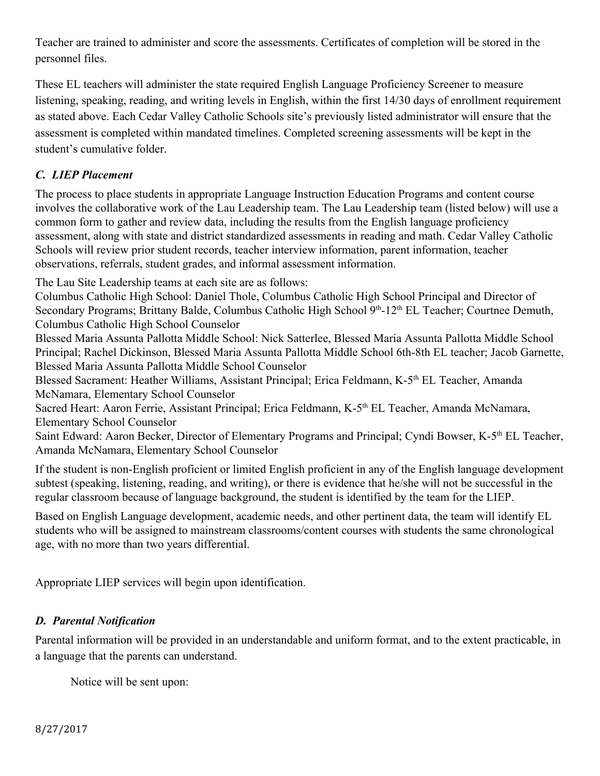Teacher are trained to administer and score the assessments. Certificates of completion will be stored in the personnel files.

These EL teachers will administer the state required English Language Proficiency Screener to measure listening, speaking, reading, and writing levels in English, within the first 14/30 days of enrollment requirement as stated above. Each Cedar Valley Catholic Schools site's previously listed administrator will ensure that the assessment is completed within mandated timelines. Completed screening assessments will be kept in the student's cumulative folder.

# *C. LIEP Placement*

The process to place students in appropriate Language Instruction Education Programs and content course involves the collaborative work of the Lau Leadership team. The Lau Leadership team (listed below) will use a common form to gather and review data, including the results from the English language proficiency assessment, along with state and district standardized assessments in reading and math. Cedar Valley Catholic Schools will review prior student records, teacher interview information, parent information, teacher observations, referrals, student grades, and informal assessment information.

The Lau Site Leadership teams at each site are as follows:

Columbus Catholic High School: Daniel Thole, Columbus Catholic High School Principal and Director of Secondary Programs; Brittany Balde, Columbus Catholic High School 9<sup>th</sup>-12<sup>th</sup> EL Teacher; Courtnee Demuth, Columbus Catholic High School Counselor

Blessed Maria Assunta Pallotta Middle School: Nick Satterlee, Blessed Maria Assunta Pallotta Middle School Principal; Rachel Dickinson, Blessed Maria Assunta Pallotta Middle School 6th-8th EL teacher; Jacob Garnette, Blessed Maria Assunta Pallotta Middle School Counselor

Blessed Sacrament: Heather Williams, Assistant Principal; Erica Feldmann, K-5<sup>th</sup> EL Teacher, Amanda McNamara, Elementary School Counselor

Sacred Heart: Aaron Ferrie, Assistant Principal; Erica Feldmann, K-5<sup>th</sup> EL Teacher, Amanda McNamara, Elementary School Counselor

Saint Edward: Aaron Becker, Director of Elementary Programs and Principal; Cyndi Bowser, K-5<sup>th</sup> EL Teacher, Amanda McNamara, Elementary School Counselor

If the student is non-English proficient or limited English proficient in any of the English language development subtest (speaking, listening, reading, and writing), or there is evidence that he/she will not be successful in the regular classroom because of language background, the student is identified by the team for the LIEP.

Based on English Language development, academic needs, and other pertinent data, the team will identify EL students who will be assigned to mainstream classrooms/content courses with students the same chronological age, with no more than two years differential.

Appropriate LIEP services will begin upon identification.

#### *D. Parental Notification*

Parental information will be provided in an understandable and uniform format, and to the extent practicable, in a language that the parents can understand.

Notice will be sent upon: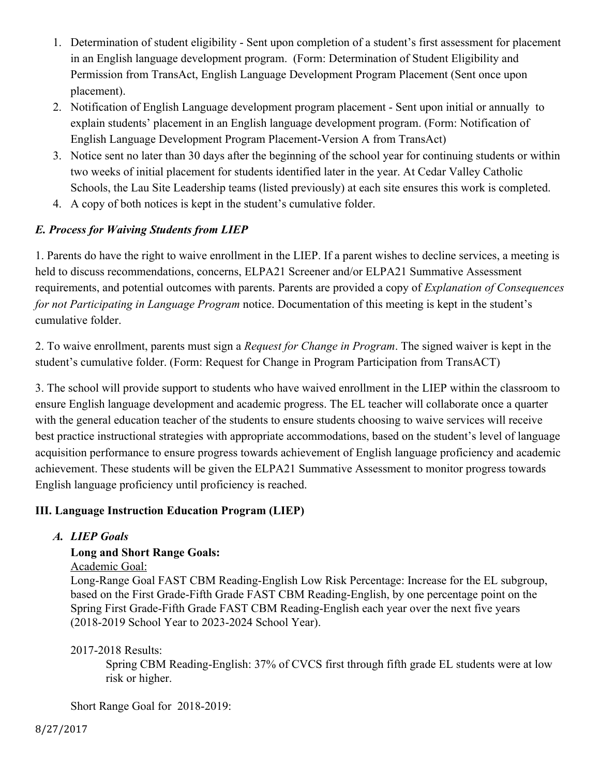- 1. Determination of student eligibility Sent upon completion of a student's first assessment for placement in an English language development program. (Form: Determination of Student Eligibility and Permission from TransAct, English Language Development Program Placement (Sent once upon placement).
- 2. Notification of English Language development program placement Sent upon initial or annually to explain students' placement in an English language development program. (Form: Notification of English Language Development Program Placement-Version A from TransAct)
- 3. Notice sent no later than 30 days after the beginning of the school year for continuing students or within two weeks of initial placement for students identified later in the year. At Cedar Valley Catholic Schools, the Lau Site Leadership teams (listed previously) at each site ensures this work is completed.
- 4. A copy of both notices is kept in the student's cumulative folder.

#### *E. Process for Waiving Students from LIEP*

1. Parents do have the right to waive enrollment in the LIEP. If a parent wishes to decline services, a meeting is held to discuss recommendations, concerns, ELPA21 Screener and/or ELPA21 Summative Assessment requirements, and potential outcomes with parents. Parents are provided a copy of *Explanation of Consequences for not Participating in Language Program* notice. Documentation of this meeting is kept in the student's cumulative folder.

2. To waive enrollment, parents must sign a *Request for Change in Program*. The signed waiver is kept in the student's cumulative folder. (Form: Request for Change in Program Participation from TransACT)

3. The school will provide support to students who have waived enrollment in the LIEP within the classroom to ensure English language development and academic progress. The EL teacher will collaborate once a quarter with the general education teacher of the students to ensure students choosing to waive services will receive best practice instructional strategies with appropriate accommodations, based on the student's level of language acquisition performance to ensure progress towards achievement of English language proficiency and academic achievement. These students will be given the ELPA21 Summative Assessment to monitor progress towards English language proficiency until proficiency is reached.

#### **III. Language Instruction Education Program (LIEP)**

#### *A. LIEP Goals*

#### **Long and Short Range Goals:**

Academic Goal:

Long-Range Goal FAST CBM Reading-English Low Risk Percentage: Increase for the EL subgroup, based on the First Grade-Fifth Grade FAST CBM Reading-English, by one percentage point on the Spring First Grade-Fifth Grade FAST CBM Reading-English each year over the next five years (2018-2019 School Year to 2023-2024 School Year).

#### 2017-2018 Results:

Spring CBM Reading-English: 37% of CVCS first through fifth grade EL students were at low risk or higher.

Short Range Goal for 2018-2019: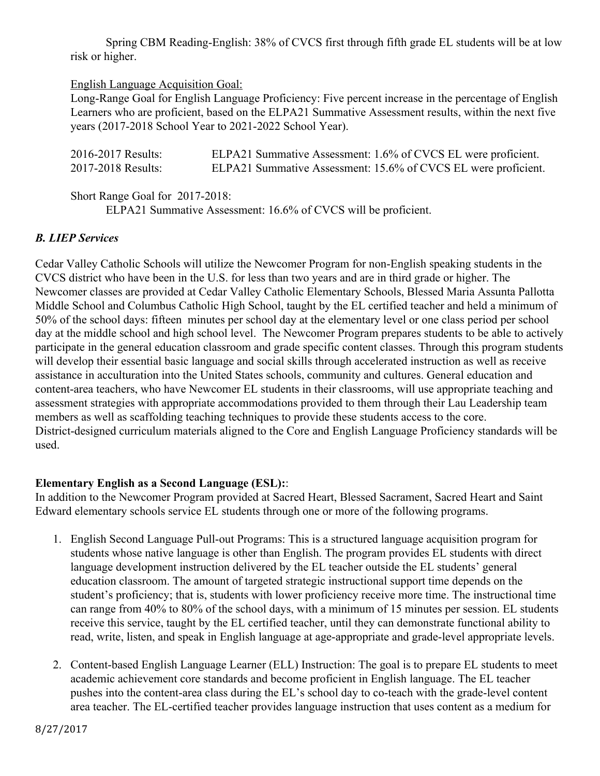Spring CBM Reading-English: 38% of CVCS first through fifth grade EL students will be at low risk or higher.

#### English Language Acquisition Goal:

Long-Range Goal for English Language Proficiency: Five percent increase in the percentage of English Learners who are proficient, based on the ELPA21 Summative Assessment results, within the next five years (2017-2018 School Year to 2021-2022 School Year).

| 2016-2017 Results: | ELPA21 Summative Assessment: 1.6% of CVCS EL were proficient.  |
|--------------------|----------------------------------------------------------------|
| 2017-2018 Results: | ELPA21 Summative Assessment: 15.6% of CVCS EL were proficient. |

Short Range Goal for 2017-2018: ELPA21 Summative Assessment: 16.6% of CVCS will be proficient.

#### *B. LIEP Services*

Cedar Valley Catholic Schools will utilize the Newcomer Program for non-English speaking students in the CVCS district who have been in the U.S. for less than two years and are in third grade or higher. The Newcomer classes are provided at Cedar Valley Catholic Elementary Schools, Blessed Maria Assunta Pallotta Middle School and Columbus Catholic High School, taught by the EL certified teacher and held a minimum of 50% of the school days: fifteen minutes per school day at the elementary level or one class period per school day at the middle school and high school level. The Newcomer Program prepares students to be able to actively participate in the general education classroom and grade specific content classes. Through this program students will develop their essential basic language and social skills through accelerated instruction as well as receive assistance in acculturation into the United States schools, community and cultures. General education and content-area teachers, who have Newcomer EL students in their classrooms, will use appropriate teaching and assessment strategies with appropriate accommodations provided to them through their Lau Leadership team members as well as scaffolding teaching techniques to provide these students access to the core. District-designed curriculum materials aligned to the Core and English Language Proficiency standards will be used.

#### **Elementary English as a Second Language (ESL):**:

In addition to the Newcomer Program provided at Sacred Heart, Blessed Sacrament, Sacred Heart and Saint Edward elementary schools service EL students through one or more of the following programs.

- 1. English Second Language Pull-out Programs: This is a structured language acquisition program for students whose native language is other than English. The program provides EL students with direct language development instruction delivered by the EL teacher outside the EL students' general education classroom. The amount of targeted strategic instructional support time depends on the student's proficiency; that is, students with lower proficiency receive more time. The instructional time can range from 40% to 80% of the school days, with a minimum of 15 minutes per session. EL students receive this service, taught by the EL certified teacher, until they can demonstrate functional ability to read, write, listen, and speak in English language at age-appropriate and grade-level appropriate levels.
- 2. Content-based English Language Learner (ELL) Instruction: The goal is to prepare EL students to meet academic achievement core standards and become proficient in English language. The EL teacher pushes into the content-area class during the EL's school day to co-teach with the grade-level content area teacher. The EL-certified teacher provides language instruction that uses content as a medium for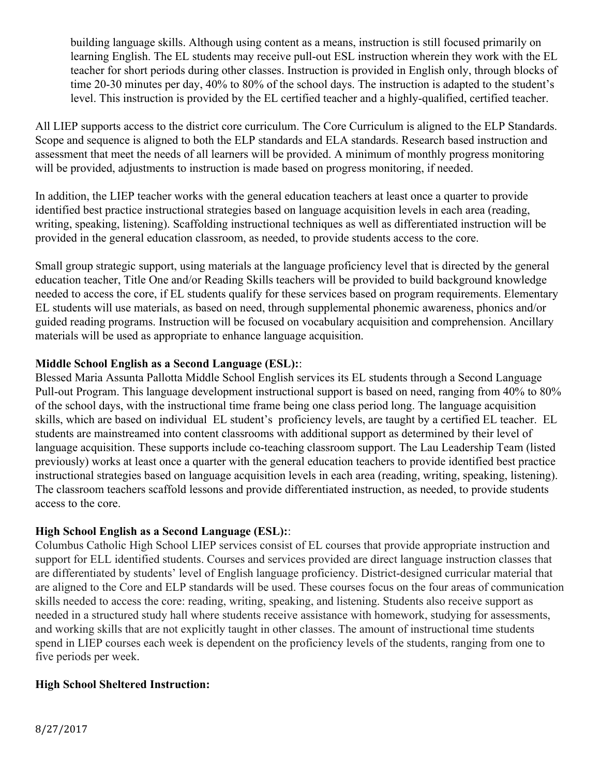building language skills. Although using content as a means, instruction is still focused primarily on learning English. The EL students may receive pull-out ESL instruction wherein they work with the EL teacher for short periods during other classes. Instruction is provided in English only, through blocks of time 20-30 minutes per day, 40% to 80% of the school days. The instruction is adapted to the student's level. This instruction is provided by the EL certified teacher and a highly-qualified, certified teacher.

All LIEP supports access to the district core curriculum. The Core Curriculum is aligned to the ELP Standards. Scope and sequence is aligned to both the ELP standards and ELA standards. Research based instruction and assessment that meet the needs of all learners will be provided. A minimum of monthly progress monitoring will be provided, adjustments to instruction is made based on progress monitoring, if needed.

In addition, the LIEP teacher works with the general education teachers at least once a quarter to provide identified best practice instructional strategies based on language acquisition levels in each area (reading, writing, speaking, listening). Scaffolding instructional techniques as well as differentiated instruction will be provided in the general education classroom, as needed, to provide students access to the core.

Small group strategic support, using materials at the language proficiency level that is directed by the general education teacher, Title One and/or Reading Skills teachers will be provided to build background knowledge needed to access the core, if EL students qualify for these services based on program requirements. Elementary EL students will use materials, as based on need, through supplemental phonemic awareness, phonics and/or guided reading programs. Instruction will be focused on vocabulary acquisition and comprehension. Ancillary materials will be used as appropriate to enhance language acquisition.

#### **Middle School English as a Second Language (ESL):**:

Blessed Maria Assunta Pallotta Middle School English services its EL students through a Second Language Pull-out Program. This language development instructional support is based on need, ranging from 40% to 80% of the school days, with the instructional time frame being one class period long. The language acquisition skills, which are based on individual EL student's proficiency levels, are taught by a certified EL teacher. EL students are mainstreamed into content classrooms with additional support as determined by their level of language acquisition. These supports include co-teaching classroom support. The Lau Leadership Team (listed previously) works at least once a quarter with the general education teachers to provide identified best practice instructional strategies based on language acquisition levels in each area (reading, writing, speaking, listening). The classroom teachers scaffold lessons and provide differentiated instruction, as needed, to provide students access to the core.

#### **High School English as a Second Language (ESL):**:

Columbus Catholic High School LIEP services consist of EL courses that provide appropriate instruction and support for ELL identified students. Courses and services provided are direct language instruction classes that are differentiated by students' level of English language proficiency. District-designed curricular material that are aligned to the Core and ELP standards will be used. These courses focus on the four areas of communication skills needed to access the core: reading, writing, speaking, and listening. Students also receive support as needed in a structured study hall where students receive assistance with homework, studying for assessments, and working skills that are not explicitly taught in other classes. The amount of instructional time students spend in LIEP courses each week is dependent on the proficiency levels of the students, ranging from one to five periods per week.

#### **High School Sheltered Instruction:**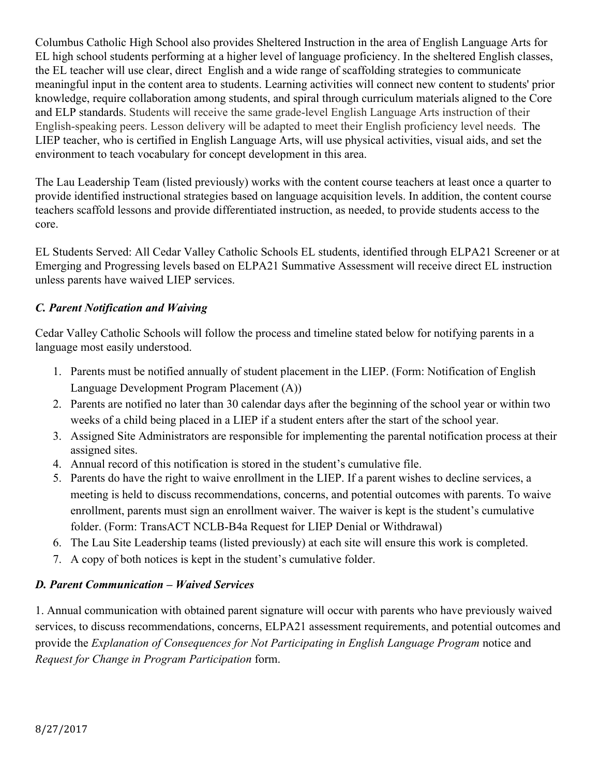Columbus Catholic High School also provides Sheltered Instruction in the area of English Language Arts for EL high school students performing at a higher level of language proficiency. In the sheltered English classes, the EL teacher will use clear, direct English and a wide range of scaffolding strategies to communicate meaningful input in the content area to students. Learning activities will connect new content to students' prior knowledge, require collaboration among students, and spiral through curriculum materials aligned to the Core and ELP standards. Students will receive the same grade-level English Language Arts instruction of their English-speaking peers. Lesson delivery will be adapted to meet their English proficiency level needs. The LIEP teacher, who is certified in English Language Arts, will use physical activities, visual aids, and set the environment to teach vocabulary for concept development in this area.

The Lau Leadership Team (listed previously) works with the content course teachers at least once a quarter to provide identified instructional strategies based on language acquisition levels. In addition, the content course teachers scaffold lessons and provide differentiated instruction, as needed, to provide students access to the core.

EL Students Served: All Cedar Valley Catholic Schools EL students, identified through ELPA21 Screener or at Emerging and Progressing levels based on ELPA21 Summative Assessment will receive direct EL instruction unless parents have waived LIEP services.

#### *C. Parent Notification and Waiving*

Cedar Valley Catholic Schools will follow the process and timeline stated below for notifying parents in a language most easily understood.

- 1. Parents must be notified annually of student placement in the LIEP. (Form: Notification of English Language Development Program Placement (A))
- 2. Parents are notified no later than 30 calendar days after the beginning of the school year or within two weeks of a child being placed in a LIEP if a student enters after the start of the school year.
- 3. Assigned Site Administrators are responsible for implementing the parental notification process at their assigned sites.
- 4. Annual record of this notification is stored in the student's cumulative file.
- 5. Parents do have the right to waive enrollment in the LIEP. If a parent wishes to decline services, a meeting is held to discuss recommendations, concerns, and potential outcomes with parents. To waive enrollment, parents must sign an enrollment waiver. The waiver is kept is the student's cumulative folder. (Form: TransACT NCLB-B4a Request for LIEP Denial or Withdrawal)
- 6. The Lau Site Leadership teams (listed previously) at each site will ensure this work is completed.
- 7. A copy of both notices is kept in the student's cumulative folder.

#### *D. Parent Communication – Waived Services*

1. Annual communication with obtained parent signature will occur with parents who have previously waived services, to discuss recommendations, concerns, ELPA21 assessment requirements, and potential outcomes and provide the *Explanation of Consequences for Not Participating in English Language Program* notice and *Request for Change in Program Participation* form.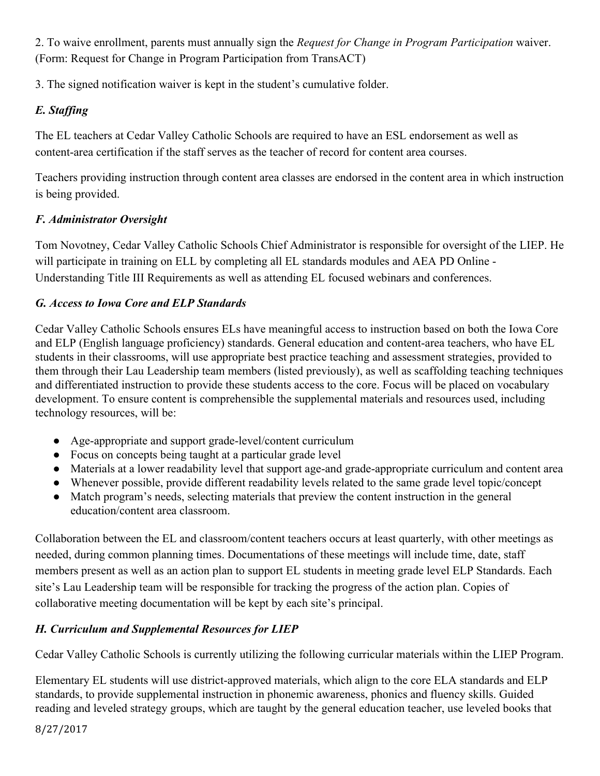2. To waive enrollment, parents must annually sign the *Request for Change in Program Participation* waiver. (Form: Request for Change in Program Participation from TransACT)

3. The signed notification waiver is kept in the student's cumulative folder.

# *E. Staffing*

The EL teachers at Cedar Valley Catholic Schools are required to have an ESL endorsement as well as content-area certification if the staff serves as the teacher of record for content area courses.

Teachers providing instruction through content area classes are endorsed in the content area in which instruction is being provided.

# *F. Administrator Oversight*

Tom Novotney, Cedar Valley Catholic Schools Chief Administrator is responsible for oversight of the LIEP. He will participate in training on ELL by completing all EL standards modules and AEA PD Online - Understanding Title III Requirements as well as attending EL focused webinars and conferences.

# *G. Access to Iowa Core and ELP Standards*

Cedar Valley Catholic Schools ensures ELs have meaningful access to instruction based on both the Iowa Core and ELP (English language proficiency) standards. General education and content-area teachers, who have EL students in their classrooms, will use appropriate best practice teaching and assessment strategies, provided to them through their Lau Leadership team members (listed previously), as well as scaffolding teaching techniques and differentiated instruction to provide these students access to the core. Focus will be placed on vocabulary development. To ensure content is comprehensible the supplemental materials and resources used, including technology resources, will be:

- Age-appropriate and support grade-level/content curriculum
- Focus on concepts being taught at a particular grade level
- Materials at a lower readability level that support age-and grade-appropriate curriculum and content area
- Whenever possible, provide different readability levels related to the same grade level topic/concept
- Match program's needs, selecting materials that preview the content instruction in the general education/content area classroom.

Collaboration between the EL and classroom/content teachers occurs at least quarterly, with other meetings as needed, during common planning times. Documentations of these meetings will include time, date, staff members present as well as an action plan to support EL students in meeting grade level ELP Standards. Each site's Lau Leadership team will be responsible for tracking the progress of the action plan. Copies of collaborative meeting documentation will be kept by each site's principal.

# *H. Curriculum and Supplemental Resources for LIEP*

Cedar Valley Catholic Schools is currently utilizing the following curricular materials within the LIEP Program.

Elementary EL students will use district-approved materials, which align to the core ELA standards and ELP standards, to provide supplemental instruction in phonemic awareness, phonics and fluency skills. Guided reading and leveled strategy groups, which are taught by the general education teacher, use leveled books that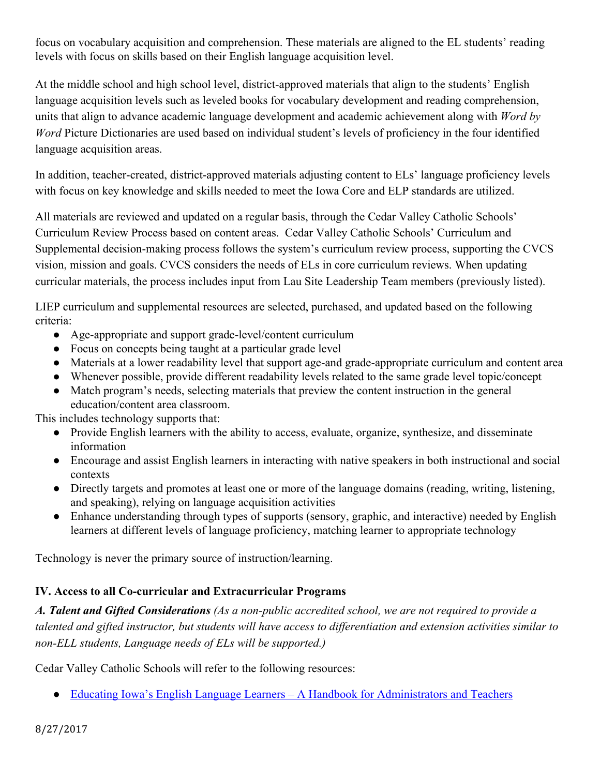focus on vocabulary acquisition and comprehension. These materials are aligned to the EL students' reading levels with focus on skills based on their English language acquisition level.

At the middle school and high school level, district-approved materials that align to the students' English language acquisition levels such as leveled books for vocabulary development and reading comprehension, units that align to advance academic language development and academic achievement along with *Word by Word* Picture Dictionaries are used based on individual student's levels of proficiency in the four identified language acquisition areas.

In addition, teacher-created, district-approved materials adjusting content to ELs' language proficiency levels with focus on key knowledge and skills needed to meet the Iowa Core and ELP standards are utilized.

All materials are reviewed and updated on a regular basis, through the Cedar Valley Catholic Schools' Curriculum Review Process based on content areas. Cedar Valley Catholic Schools' Curriculum and Supplemental decision-making process follows the system's curriculum review process, supporting the CVCS vision, mission and goals. CVCS considers the needs of ELs in core curriculum reviews. When updating curricular materials, the process includes input from Lau Site Leadership Team members (previously listed).

LIEP curriculum and supplemental resources are selected, purchased, and updated based on the following criteria:

- Age-appropriate and support grade-level/content curriculum
- Focus on concepts being taught at a particular grade level
- Materials at a lower readability level that support age-and grade-appropriate curriculum and content area
- Whenever possible, provide different readability levels related to the same grade level topic/concept
- Match program's needs, selecting materials that preview the content instruction in the general education/content area classroom.

This includes technology supports that:

- Provide English learners with the ability to access, evaluate, organize, synthesize, and disseminate information
- Encourage and assist English learners in interacting with native speakers in both instructional and social contexts
- Directly targets and promotes at least one or more of the language domains (reading, writing, listening, and speaking), relying on language acquisition activities
- Enhance understanding through types of supports (sensory, graphic, and interactive) needed by English learners at different levels of language proficiency, matching learner to appropriate technology

Technology is never the primary source of instruction/learning.

# **IV. Access to all Co-curricular and Extracurricular Programs**

*A. Talent and Gifted Considerations (As a non-public accredited school, we are not required to provide a talented and gifted instructor, but students will have access to differentiation and extension activities similar to non-ELL students, Language needs of ELs will be supported.)*

Cedar Valley Catholic Schools will refer to the following resources:

• [Educating Iowa's English Language Learners – A Handbook for Administrators and Teachers](https://www.educateiowa.gov/documents/learner-supports/2014/05/educating-iowas-english-learners-handbook-administrators-and)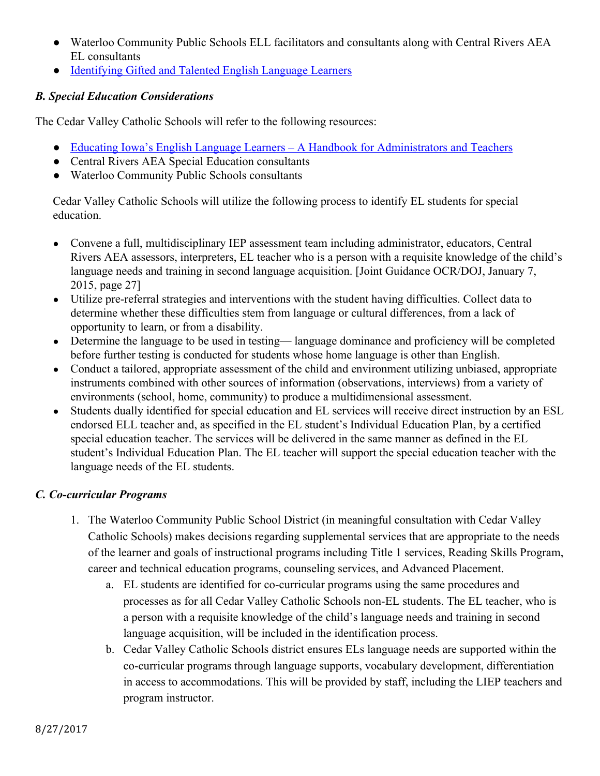- Waterloo Community Public Schools ELL facilitators and consultants along with Central Rivers AEA EL consultants
- [Identifying Gifted and Talented English Language Learners](https://www.educateiowa.gov/sites/files/ed/documents/IdentifyGiftedTalentedELL.pdf)

#### *B. Special Education Considerations*

The Cedar Valley Catholic Schools will refer to the following resources:

- [Educating Iowa's English Language Learners A Handbook for Administrators and Teachers](https://www.educateiowa.gov/documents/learner-supports/2014/05/educating-iowas-english-learners-handbook-administrators-and)
- Central Rivers AEA Special Education consultants
- Waterloo Community Public Schools consultants

Cedar Valley Catholic Schools will utilize the following process to identify EL students for special education.

- Convene a full, multidisciplinary IEP assessment team including administrator, educators, Central Rivers AEA assessors, interpreters, EL teacher who is a person with a requisite knowledge of the child's language needs and training in second language acquisition. [Joint Guidance OCR/DOJ, January 7, 2015, page 27]
- Utilize pre-referral strategies and interventions with the student having difficulties. Collect data to determine whether these difficulties stem from language or cultural differences, from a lack of opportunity to learn, or from a disability.
- Determine the language to be used in testing— language dominance and proficiency will be completed before further testing is conducted for students whose home language is other than English.
- Conduct a tailored, appropriate assessment of the child and environment utilizing unbiased, appropriate instruments combined with other sources of information (observations, interviews) from a variety of environments (school, home, community) to produce a multidimensional assessment.
- Students dually identified for special education and EL services will receive direct instruction by an ESL endorsed ELL teacher and, as specified in the EL student's Individual Education Plan, by a certified special education teacher. The services will be delivered in the same manner as defined in the EL student's Individual Education Plan. The EL teacher will support the special education teacher with the language needs of the EL students.

#### *C. Co-curricular Programs*

- 1. The Waterloo Community Public School District (in meaningful consultation with Cedar Valley Catholic Schools) makes decisions regarding supplemental services that are appropriate to the needs of the learner and goals of instructional programs including Title 1 services, Reading Skills Program, career and technical education programs, counseling services, and Advanced Placement.
	- a. EL students are identified for co-curricular programs using the same procedures and processes as for all Cedar Valley Catholic Schools non-EL students. The EL teacher, who is a person with a requisite knowledge of the child's language needs and training in second language acquisition, will be included in the identification process.
	- b. Cedar Valley Catholic Schools district ensures ELs language needs are supported within the co-curricular programs through language supports, vocabulary development, differentiation in access to accommodations. This will be provided by staff, including the LIEP teachers and program instructor.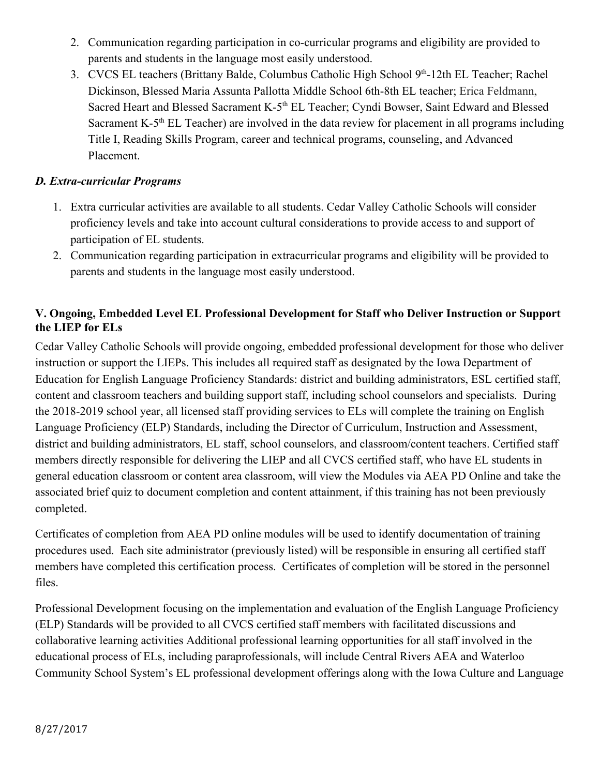- 2. Communication regarding participation in co-curricular programs and eligibility are provided to parents and students in the language most easily understood.
- 3. CVCS EL teachers (Brittany Balde, Columbus Catholic High School 9<sup>th</sup>-12th EL Teacher; Rachel Dickinson, Blessed Maria Assunta Pallotta Middle School 6th-8th EL teacher; Erica Feldmann, Sacred Heart and Blessed Sacrament K-5<sup>th</sup> EL Teacher; Cyndi Bowser, Saint Edward and Blessed Sacrament K-5<sup>th</sup> EL Teacher) are involved in the data review for placement in all programs including Title I, Reading Skills Program, career and technical programs, counseling, and Advanced Placement.

#### *D. Extra-curricular Programs*

- 1. Extra curricular activities are available to all students. Cedar Valley Catholic Schools will consider proficiency levels and take into account cultural considerations to provide access to and support of participation of EL students.
- 2. Communication regarding participation in extracurricular programs and eligibility will be provided to parents and students in the language most easily understood.

### **V. Ongoing, Embedded Level EL Professional Development for Staff who Deliver Instruction or Support the LIEP for ELs**

Cedar Valley Catholic Schools will provide ongoing, embedded professional development for those who deliver instruction or support the LIEPs. This includes all required staff as designated by the Iowa Department of Education for English Language Proficiency Standards: district and building administrators, ESL certified staff, content and classroom teachers and building support staff, including school counselors and specialists. During the 2018-2019 school year, all licensed staff providing services to ELs will complete the training on English Language Proficiency (ELP) Standards, including the Director of Curriculum, Instruction and Assessment, district and building administrators, EL staff, school counselors, and classroom/content teachers. Certified staff members directly responsible for delivering the LIEP and all CVCS certified staff, who have EL students in general education classroom or content area classroom, will view the Modules via AEA PD Online and take the associated brief quiz to document completion and content attainment, if this training has not been previously completed.

Certificates of completion from AEA PD online modules will be used to identify documentation of training procedures used. Each site administrator (previously listed) will be responsible in ensuring all certified staff members have completed this certification process. Certificates of completion will be stored in the personnel files.

Professional Development focusing on the implementation and evaluation of the English Language Proficiency (ELP) Standards will be provided to all CVCS certified staff members with facilitated discussions and collaborative learning activities Additional professional learning opportunities for all staff involved in the educational process of ELs, including paraprofessionals, will include Central Rivers AEA and Waterloo Community School System's EL professional development offerings along with the Iowa Culture and Language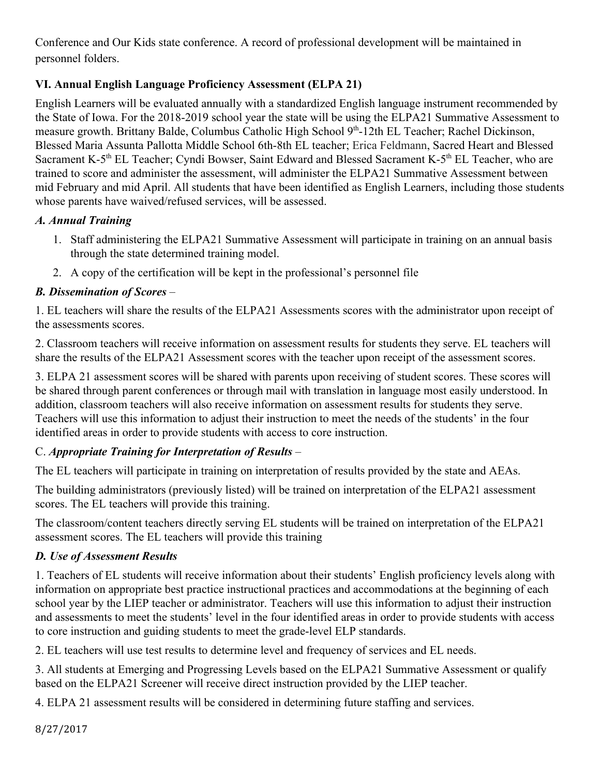Conference and Our Kids state conference. A record of professional development will be maintained in personnel folders.

# **VI. Annual English Language Proficiency Assessment (ELPA 21)**

English Learners will be evaluated annually with a standardized English language instrument recommended by the State of Iowa. For the 2018-2019 school year the state will be using the ELPA21 Summative Assessment to measure growth. Brittany Balde, Columbus Catholic High School 9<sup>th</sup>-12th EL Teacher; Rachel Dickinson, Blessed Maria Assunta Pallotta Middle School 6th-8th EL teacher; Erica Feldmann, Sacred Heart and Blessed Sacrament K-5<sup>th</sup> EL Teacher; Cyndi Bowser, Saint Edward and Blessed Sacrament K-5<sup>th</sup> EL Teacher, who are trained to score and administer the assessment, will administer the ELPA21 Summative Assessment between mid February and mid April. All students that have been identified as English Learners, including those students whose parents have waived/refused services, will be assessed.

# *A. Annual Training*

- 1. Staff administering the ELPA21 Summative Assessment will participate in training on an annual basis through the state determined training model.
- 2. A copy of the certification will be kept in the professional's personnel file

# *B. Dissemination of Scores* –

1. EL teachers will share the results of the ELPA21 Assessments scores with the administrator upon receipt of the assessments scores.

2. Classroom teachers will receive information on assessment results for students they serve. EL teachers will share the results of the ELPA21 Assessment scores with the teacher upon receipt of the assessment scores.

3. ELPA 21 assessment scores will be shared with parents upon receiving of student scores. These scores will be shared through parent conferences or through mail with translation in language most easily understood. In addition, classroom teachers will also receive information on assessment results for students they serve. Teachers will use this information to adjust their instruction to meet the needs of the students' in the four identified areas in order to provide students with access to core instruction.

# C. *Appropriate Training for Interpretation of Results* –

The EL teachers will participate in training on interpretation of results provided by the state and AEAs.

The building administrators (previously listed) will be trained on interpretation of the ELPA21 assessment scores. The EL teachers will provide this training.

The classroom/content teachers directly serving EL students will be trained on interpretation of the ELPA21 assessment scores. The EL teachers will provide this training

# *D. Use of Assessment Results*

1. Teachers of EL students will receive information about their students' English proficiency levels along with information on appropriate best practice instructional practices and accommodations at the beginning of each school year by the LIEP teacher or administrator. Teachers will use this information to adjust their instruction and assessments to meet the students' level in the four identified areas in order to provide students with access to core instruction and guiding students to meet the grade-level ELP standards.

2. EL teachers will use test results to determine level and frequency of services and EL needs.

3. All students at Emerging and Progressing Levels based on the ELPA21 Summative Assessment or qualify based on the ELPA21 Screener will receive direct instruction provided by the LIEP teacher.

4. ELPA 21 assessment results will be considered in determining future staffing and services.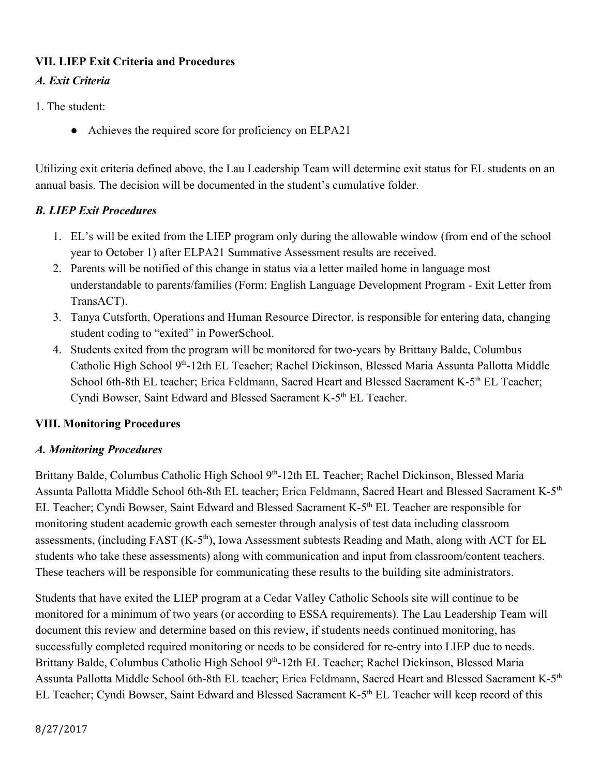### **VII. LIEP Exit Criteria and Procedures**

# *A. Exit Criteria*

- 1. The student:
	- Achieves the required score for proficiency on ELPA21

Utilizing exit criteria defined above, the Lau Leadership Team will determine exit status for EL students on an annual basis. The decision will be documented in the student's cumulative folder.

# *B. LIEP Exit Procedures*

- 1. EL's will be exited from the LIEP program only during the allowable window (from end of the school year to October 1) after ELPA21 Summative Assessment results are received.
- 2. Parents will be notified of this change in status via a letter mailed home in language most understandable to parents/families (Form: English Language Development Program - Exit Letter from TransACT).
- 3. Tanya Cutsforth, Operations and Human Resource Director, is responsible for entering data, changing student coding to "exited" in PowerSchool.
- 4. Students exited from the program will be monitored for two-years by Brittany Balde, Columbus Catholic High School 9<sup>th</sup>-12th EL Teacher; Rachel Dickinson, Blessed Maria Assunta Pallotta Middle School 6th-8th EL teacher; Erica Feldmann, Sacred Heart and Blessed Sacrament K-5<sup>th</sup> EL Teacher; Cyndi Bowser, Saint Edward and Blessed Sacrament K-5<sup>th</sup> EL Teacher.

#### **VIII. Monitoring Procedures**

#### *A. Monitoring Procedures*

Brittany Balde, Columbus Catholic High School 9<sup>th</sup>-12th EL Teacher; Rachel Dickinson, Blessed Maria Assunta Pallotta Middle School 6th-8th EL teacher; Erica Feldmann, Sacred Heart and Blessed Sacrament K-5th EL Teacher; Cyndi Bowser, Saint Edward and Blessed Sacrament K-5<sup>th</sup> EL Teacher are responsible for monitoring student academic growth each semester through analysis of test data including classroom assessments, (including FAST (K-5<sup>th</sup>), Iowa Assessment subtests Reading and Math, along with ACT for EL students who take these assessments) along with communication and input from classroom/content teachers. These teachers will be responsible for communicating these results to the building site administrators.

Students that have exited the LIEP program at a Cedar Valley Catholic Schools site will continue to be monitored for a minimum of two years (or according to ESSA requirements). The Lau Leadership Team will document this review and determine based on this review, if students needs continued monitoring, has successfully completed required monitoring or needs to be considered for re-entry into LIEP due to needs. Brittany Balde, Columbus Catholic High School 9<sup>th</sup>-12th EL Teacher; Rachel Dickinson, Blessed Maria Assunta Pallotta Middle School 6th-8th EL teacher; Erica Feldmann, Sacred Heart and Blessed Sacrament K-5th EL Teacher; Cyndi Bowser, Saint Edward and Blessed Sacrament K-5<sup>th</sup> EL Teacher will keep record of this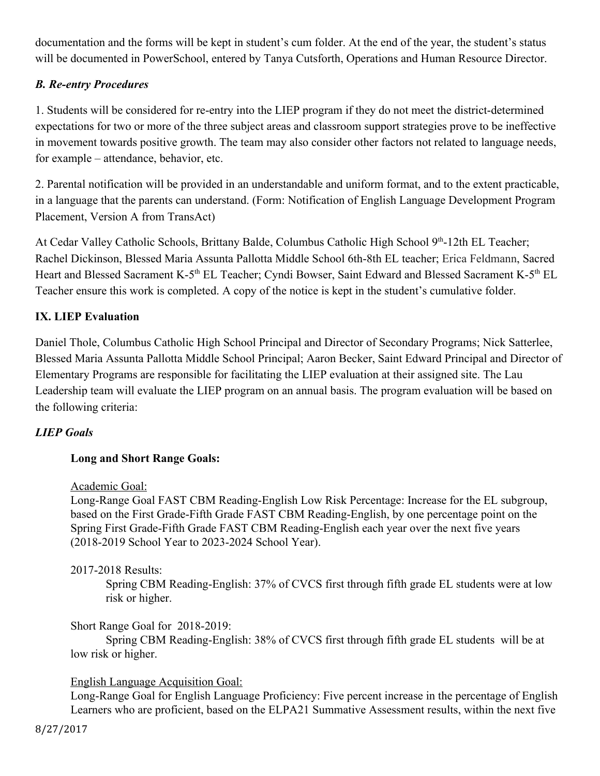documentation and the forms will be kept in student's cum folder. At the end of the year, the student's status will be documented in PowerSchool, entered by Tanya Cutsforth, Operations and Human Resource Director.

# *B. Re-entry Procedures*

1. Students will be considered for re-entry into the LIEP program if they do not meet the district-determined expectations for two or more of the three subject areas and classroom support strategies prove to be ineffective in movement towards positive growth. The team may also consider other factors not related to language needs, for example – attendance, behavior, etc.

2. Parental notification will be provided in an understandable and uniform format, and to the extent practicable, in a language that the parents can understand. (Form: Notification of English Language Development Program Placement, Version A from TransAct)

At Cedar Valley Catholic Schools, Brittany Balde, Columbus Catholic High School 9th-12th EL Teacher; Rachel Dickinson, Blessed Maria Assunta Pallotta Middle School 6th-8th EL teacher; Erica Feldmann, Sacred Heart and Blessed Sacrament K-5<sup>th</sup> EL Teacher; Cyndi Bowser, Saint Edward and Blessed Sacrament K-5<sup>th</sup> EL Teacher ensure this work is completed. A copy of the notice is kept in the student's cumulative folder.

#### **IX. LIEP Evaluation**

Daniel Thole, Columbus Catholic High School Principal and Director of Secondary Programs; Nick Satterlee, Blessed Maria Assunta Pallotta Middle School Principal; Aaron Becker, Saint Edward Principal and Director of Elementary Programs are responsible for facilitating the LIEP evaluation at their assigned site. The Lau Leadership team will evaluate the LIEP program on an annual basis. The program evaluation will be based on the following criteria:

#### *LIEP Goals*

#### **Long and Short Range Goals:**

#### Academic Goal:

Long-Range Goal FAST CBM Reading-English Low Risk Percentage: Increase for the EL subgroup, based on the First Grade-Fifth Grade FAST CBM Reading-English, by one percentage point on the Spring First Grade-Fifth Grade FAST CBM Reading-English each year over the next five years (2018-2019 School Year to 2023-2024 School Year).

#### 2017-2018 Results:

Spring CBM Reading-English: 37% of CVCS first through fifth grade EL students were at low risk or higher.

#### Short Range Goal for 2018-2019:

Spring CBM Reading-English: 38% of CVCS first through fifth grade EL students will be at low risk or higher.

#### English Language Acquisition Goal:

Long-Range Goal for English Language Proficiency: Five percent increase in the percentage of English Learners who are proficient, based on the ELPA21 Summative Assessment results, within the next five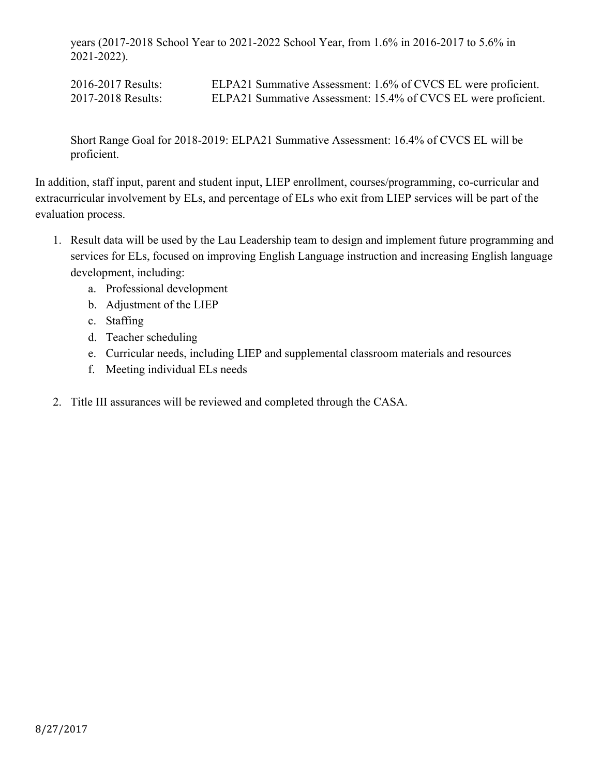years (2017-2018 School Year to 2021-2022 School Year, from 1.6% in 2016-2017 to 5.6% in 2021-2022).

2016-2017 Results: ELPA21 Summative Assessment: 1.6% of CVCS EL were proficient. 2017-2018 Results: ELPA21 Summative Assessment: 15.4% of CVCS EL were proficient.

Short Range Goal for 2018-2019: ELPA21 Summative Assessment: 16.4% of CVCS EL will be proficient.

In addition, staff input, parent and student input, LIEP enrollment, courses/programming, co-curricular and extracurricular involvement by ELs, and percentage of ELs who exit from LIEP services will be part of the evaluation process.

- 1. Result data will be used by the Lau Leadership team to design and implement future programming and services for ELs, focused on improving English Language instruction and increasing English language development, including:
	- a. Professional development
	- b. Adjustment of the LIEP
	- c. Staffing
	- d. Teacher scheduling
	- e. Curricular needs, including LIEP and supplemental classroom materials and resources
	- f. Meeting individual ELs needs
- 2. Title III assurances will be reviewed and completed through the CASA.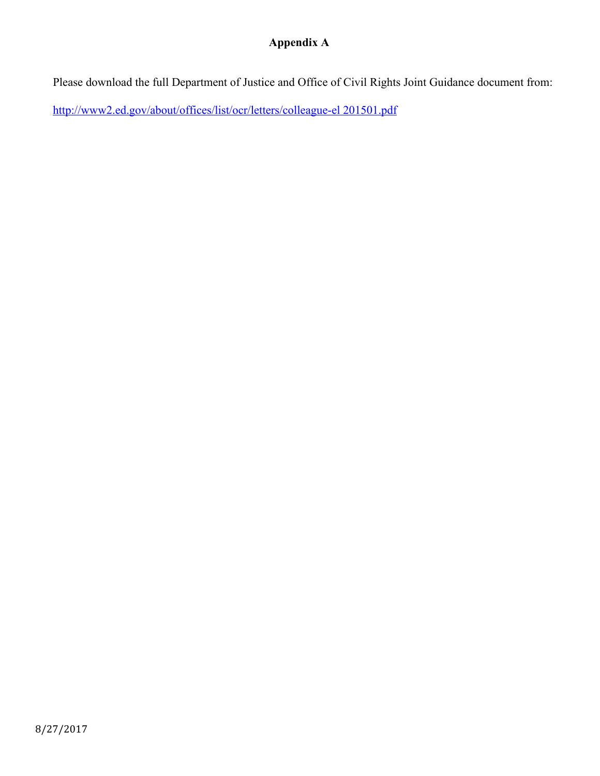# **Appendix A**

Please download the full Department of Justice and Office of Civil Rights Joint Guidance document from:

[http://www2.ed.gov/about/offices/list/ocr/letters/colleague-el 201501.pdf](http://www2.ed.gov/about/offices/list/ocr/letters/colleague-el%20201501.pdf)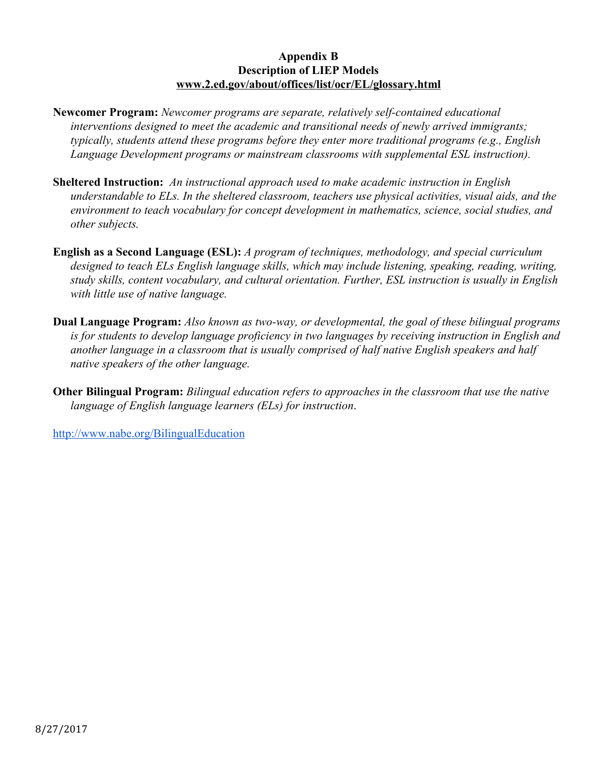#### **Appendix B Description of LIEP Models [www.2.ed.gov/about/offices/list/ocr/EL/glossary.html](http://www.2.ed.gov/about/offices/list/ocr/ell/glossary.html)**

- **Newcomer Program:** *Newcomer programs are separate, relatively self-contained educational interventions designed to meet the academic and transitional needs of newly arrived immigrants; typically, students attend these programs before they enter more traditional programs (e.g., English Language Development programs or mainstream classrooms with supplemental ESL instruction).*
- **Sheltered Instruction:** *An instructional approach used to make academic instruction in English understandable to ELs. In the sheltered classroom, teachers use physical activities, visual aids, and the environment to teach vocabulary for concept development in mathematics, science, social studies, and other subjects.*
- **English as a Second Language (ESL):** *A program of techniques, methodology, and special curriculum designed to teach ELs English language skills, which may include listening, speaking, reading, writing, study skills, content vocabulary, and cultural orientation. Further, ESL instruction is usually in English with little use of native language.*
- **Dual Language Program:** *Also known as two-way, or developmental, the goal of these bilingual programs is for students to develop language proficiency in two languages by receiving instruction in English and another language in a classroom that is usually comprised of half native English speakers and half native speakers of the other language.*
- **Other Bilingual Program:** *Bilingual education refers to approaches in the classroom that use the native language of English language learners (ELs) for instruction*.

<http://www.nabe.org/BilingualEducation>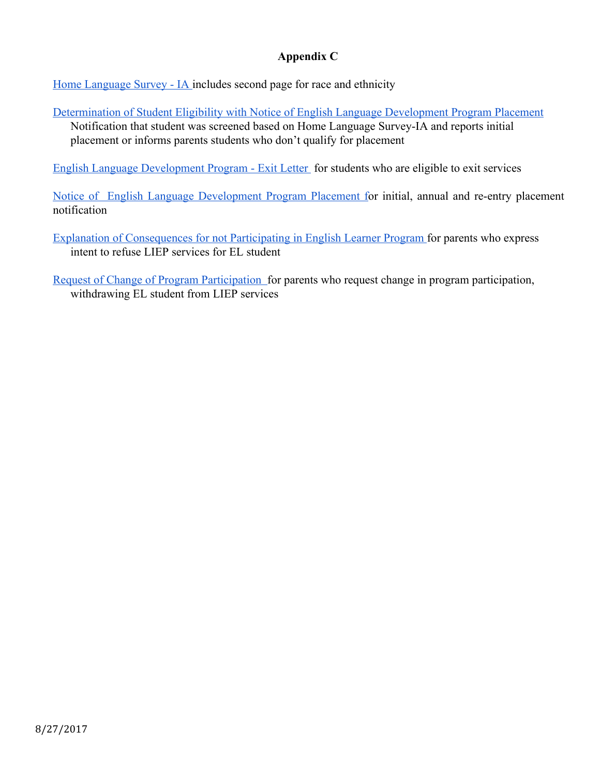### **Appendix C**

[Home Language Survey - IA](https://drive.google.com/drive/u/1/folders/0B2dlsptrbQr4TGloOHM2Z3ljWXM) includes second page for race and ethnicity

[Determination of Student Eligibility with Notice of English Language Development Program Placement](https://drive.google.com/drive/u/1/folders/0B2dlsptrbQr4TGloOHM2Z3ljWXM) Notification that student was screened based on Home Language Survey-IA and reports initial placement or informs parents students who don't qualify for placement

[English Language Development Program - Exit Letter](https://drive.google.com/drive/u/1/folders/0B2dlsptrbQr4TGloOHM2Z3ljWXM) for students who are eligible to exit services

Notice of English Language [Development](https://drive.google.com/drive/u/1/folders/0B2dlsptrbQr4TGloOHM2Z3ljWXM) Program Placement for initial, annual and re-entry placement notification

- [Explanation of Consequences for not Participating in English Learner Program f](https://drive.google.com/drive/u/1/folders/0B2dlsptrbQr4TGloOHM2Z3ljWXM)or parents who express intent to refuse LIEP services for EL student
- [Request of Change of Program Participation f](https://drive.google.com/drive/u/1/folders/0B2dlsptrbQr4TGloOHM2Z3ljWXM)or parents who request change in program participation, withdrawing EL student from LIEP services